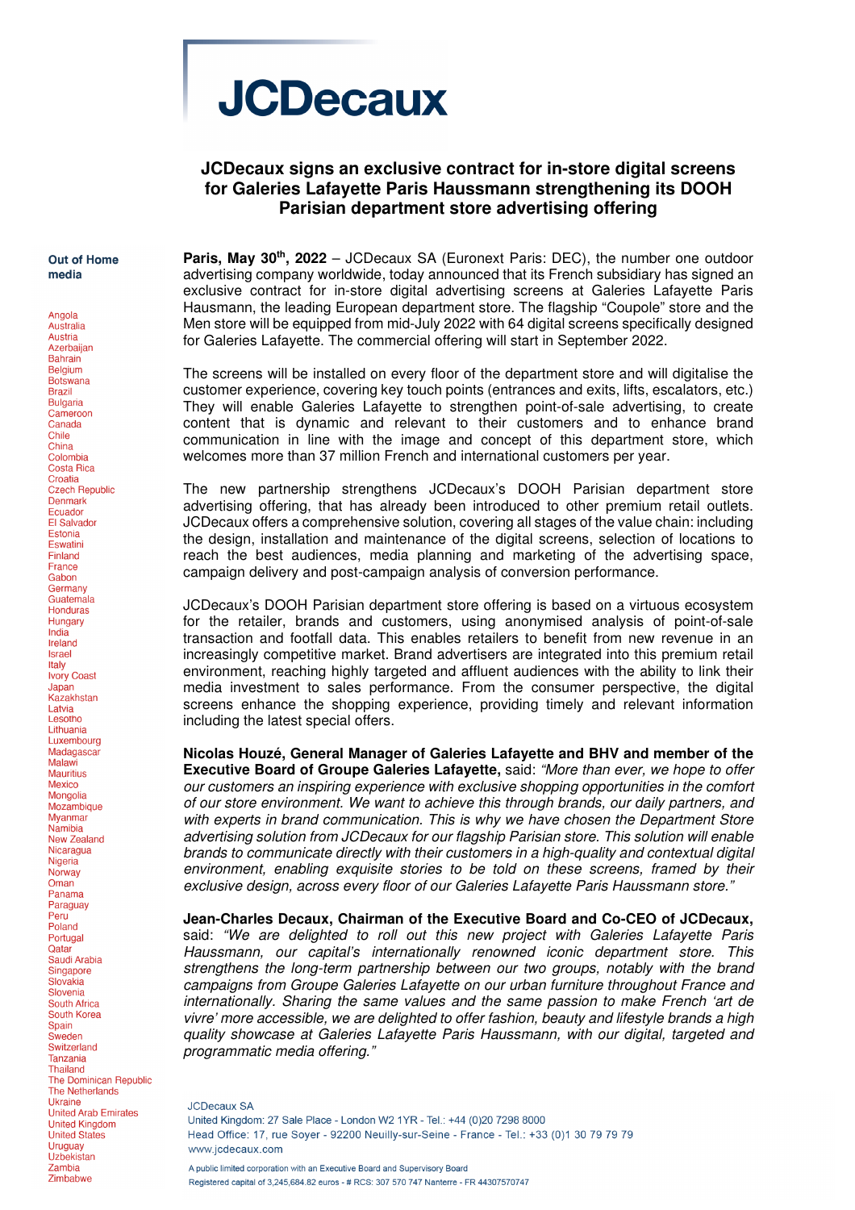# **JCDecaux**

## **JCDecaux signs an exclusive contract for in-store digital screens for Galeries Lafayette Paris Haussmann strengthening its DOOH Parisian department store advertising offering**

Out of Home media

Angola Australia

Austria Azerbaijan **Bahrain Belaium Botswana Brazil Bulgaria** Cameroon Canada Chile China Colombia Costa Rica Croatia Creating<br>Czech Republic Denmark Ecuador **El Salvador** Estonia Eswatini Finland France Gabon Germany Guatemala **Honduras** Hungary India Ireland **Israel** Italy **Ivory Coast** Japan Kazakhstan Latvia<br>Lesotho Lithuania Luxembourg Madagascar Malawi **Mauritius** Mexico Mongolia Mozambique **Mvanmar Namibia New Zealand** Nicaragua Nigeria Norway Oman Panama Paraguay Peru Poland Portugal Qatar Saudi Arabia Singapore Slovakia Slovenia South Africa South Korea **Spain** Sweden Switzerland Tanzania **Thailand** The Dominican Republic **The Netherlands Ukraine** United Arab Emirates **United Kingdom United States** Uruguay Uzbekistan Zambia Zimbabwe

**Paris, May 30th, 2022** – JCDecaux SA (Euronext Paris: DEC), the number one outdoor advertising company worldwide, today announced that its French subsidiary has signed an exclusive contract for in-store digital advertising screens at Galeries Lafayette Paris Hausmann, the leading European department store. The flagship "Coupole" store and the Men store will be equipped from mid-July 2022 with 64 digital screens specifically designed for Galeries Lafayette. The commercial offering will start in September 2022.

The screens will be installed on every floor of the department store and will digitalise the customer experience, covering key touch points (entrances and exits, lifts, escalators, etc.) They will enable Galeries Lafayette to strengthen point-of-sale advertising, to create content that is dynamic and relevant to their customers and to enhance brand communication in line with the image and concept of this department store, which welcomes more than 37 million French and international customers per year.

The new partnership strengthens JCDecaux's DOOH Parisian department store advertising offering, that has already been introduced to other premium retail outlets. JCDecaux offers a comprehensive solution, covering all stages of the value chain: including the design, installation and maintenance of the digital screens, selection of locations to reach the best audiences, media planning and marketing of the advertising space, campaign delivery and post-campaign analysis of conversion performance.

JCDecaux's DOOH Parisian department store offering is based on a virtuous ecosystem for the retailer, brands and customers, using anonymised analysis of point-of-sale transaction and footfall data. This enables retailers to benefit from new revenue in an increasingly competitive market. Brand advertisers are integrated into this premium retail environment, reaching highly targeted and affluent audiences with the ability to link their media investment to sales performance. From the consumer perspective, the digital screens enhance the shopping experience, providing timely and relevant information including the latest special offers.

**Nicolas Houzé, General Manager of Galeries Lafayette and BHV and member of the Executive Board of Groupe Galeries Lafayette,** said: "More than ever, we hope to offer our customers an inspiring experience with exclusive shopping opportunities in the comfort of our store environment. We want to achieve this through brands, our daily partners, and with experts in brand communication. This is why we have chosen the Department Store advertising solution from JCDecaux for our flagship Parisian store. This solution will enable brands to communicate directly with their customers in a high-quality and contextual digital environment, enabling exquisite stories to be told on these screens, framed by their exclusive design, across every floor of our Galeries Lafayette Paris Haussmann store."

**Jean-Charles Decaux, Chairman of the Executive Board and Co-CEO of JCDecaux,** said: "We are delighted to roll out this new project with Galeries Lafayette Paris Haussmann, our capital's internationally renowned iconic department store. This strengthens the long-term partnership between our two groups, notably with the brand campaigns from Groupe Galeries Lafayette on our urban furniture throughout France and internationally. Sharing the same values and the same passion to make French 'art de vivre' more accessible, we are delighted to offer fashion, beauty and lifestyle brands a high quality showcase at Galeries Lafayette Paris Haussmann, with our digital, targeted and programmatic media offering."

**JCDecaux SA** United Kingdom: 27 Sale Place - London W2 1YR - Tel.: +44 (0)20 7298 8000 Head Office: 17, rue Sover - 92200 Neuilly-sur-Seine - France - Tel.: +33 (0)1 30 79 79 79 www.icdecaux.com A public limited corporation with an Executive Board and Supervisory Board Registered capital of 3.245.684.82 euros - # RCS: 307 570 747 Nanterre - FR 44307570747